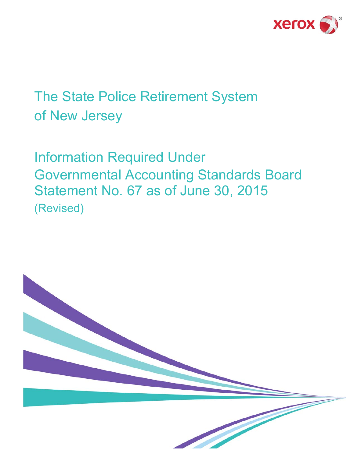

# The State Police Retirement System of New Jersey

Information Required Under Governmental Accounting Standards Board Statement No. 67 as of June 30, 2015 (Revised)

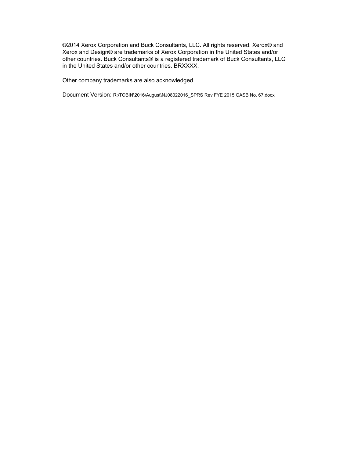©2014 Xerox Corporation and Buck Consultants, LLC. All rights reserved. Xerox® and Xerox and Design® are trademarks of Xerox Corporation in the United States and/or other countries. Buck Consultants® is a registered trademark of Buck Consultants, LLC in the United States and/or other countries. BRXXXX.

Other company trademarks are also acknowledged.

Document Version: R:\TOBIN\2016\August\NJ08022016\_SPRS Rev FYE 2015 GASB No. 67.docx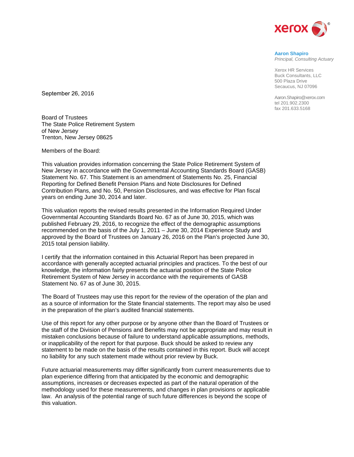

## **Aaron Shapiro**

*Principal, Consulting Actuary* 

Xerox HR Services Buck Consultants, LLC 500 Plaza Drive Secaucus, NJ 07096

Aaron.Shapiro@xerox.com tel 201.902.2300 fax 201.633.5168

September 26, 2016

Board of Trustees The State Police Retirement System of New Jersey Trenton, New Jersey 08625

Members of the Board:

This valuation provides information concerning the State Police Retirement System of New Jersey in accordance with the Governmental Accounting Standards Board (GASB) Statement No. 67. This Statement is an amendment of Statements No. 25, Financial Reporting for Defined Benefit Pension Plans and Note Disclosures for Defined Contribution Plans, and No. 50, Pension Disclosures, and was effective for Plan fiscal years on ending June 30, 2014 and later.

This valuation reports the revised results presented in the Information Required Under Governmental Accounting Standards Board No. 67 as of June 30, 2015, which was published February 29, 2016, to recognize the effect of the demographic assumptions recommended on the basis of the July 1, 2011 – June 30, 2014 Experience Study and approved by the Board of Trustees on January 26, 2016 on the Plan's projected June 30, 2015 total pension liability.

I certify that the information contained in this Actuarial Report has been prepared in accordance with generally accepted actuarial principles and practices. To the best of our knowledge, the information fairly presents the actuarial position of the State Police Retirement System of New Jersey in accordance with the requirements of GASB Statement No. 67 as of June 30, 2015.

The Board of Trustees may use this report for the review of the operation of the plan and as a source of information for the State financial statements. The report may also be used in the preparation of the plan's audited financial statements.

Use of this report for any other purpose or by anyone other than the Board of Trustees or the staff of the Division of Pensions and Benefits may not be appropriate and may result in mistaken conclusions because of failure to understand applicable assumptions, methods, or inapplicability of the report for that purpose. Buck should be asked to review any statement to be made on the basis of the results contained in this report. Buck will accept no liability for any such statement made without prior review by Buck.

Future actuarial measurements may differ significantly from current measurements due to plan experience differing from that anticipated by the economic and demographic assumptions, increases or decreases expected as part of the natural operation of the methodology used for these measurements, and changes in plan provisions or applicable law. An analysis of the potential range of such future differences is beyond the scope of this valuation.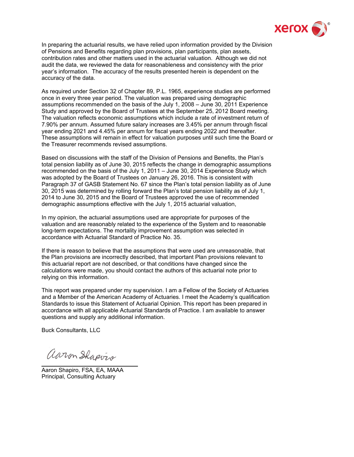

In preparing the actuarial results, we have relied upon information provided by the Division of Pensions and Benefits regarding plan provisions, plan participants, plan assets, contribution rates and other matters used in the actuarial valuation. Although we did not audit the data, we reviewed the data for reasonableness and consistency with the prior year's information. The accuracy of the results presented herein is dependent on the accuracy of the data.

As required under Section 32 of Chapter 89, P.L. 1965, experience studies are performed once in every three year period. The valuation was prepared using demographic assumptions recommended on the basis of the July 1, 2008 – June 30, 2011 Experience Study and approved by the Board of Trustees at the September 25, 2012 Board meeting. The valuation reflects economic assumptions which include a rate of investment return of 7.90% per annum. Assumed future salary increases are 3.45% per annum through fiscal year ending 2021 and 4.45% per annum for fiscal years ending 2022 and thereafter. These assumptions will remain in effect for valuation purposes until such time the Board or the Treasurer recommends revised assumptions.

Based on discussions with the staff of the Division of Pensions and Benefits, the Plan's total pension liability as of June 30, 2015 reflects the change in demographic assumptions recommended on the basis of the July 1, 2011 – June 30, 2014 Experience Study which was adopted by the Board of Trustees on January 26, 2016. This is consistent with Paragraph 37 of GASB Statement No. 67 since the Plan's total pension liability as of June 30, 2015 was determined by rolling forward the Plan's total pension liability as of July 1, 2014 to June 30, 2015 and the Board of Trustees approved the use of recommended demographic assumptions effective with the July 1, 2015 actuarial valuation,

In my opinion, the actuarial assumptions used are appropriate for purposes of the valuation and are reasonably related to the experience of the System and to reasonable long-term expectations. The mortality improvement assumption was selected in accordance with Actuarial Standard of Practice No. 35.

If there is reason to believe that the assumptions that were used are unreasonable, that the Plan provisions are incorrectly described, that important Plan provisions relevant to this actuarial report are not described, or that conditions have changed since the calculations were made, you should contact the authors of this actuarial note prior to relying on this information.

This report was prepared under my supervision. I am a Fellow of the Society of Actuaries and a Member of the American Academy of Actuaries. I meet the Academy's qualification Standards to issue this Statement of Actuarial Opinion. This report has been prepared in accordance with all applicable Actuarial Standards of Practice. I am available to answer questions and supply any additional information.

Buck Consultants, LLC

aaron Shapvis

Aaron Shapiro, FSA, EA, MAAA Principal, Consulting Actuary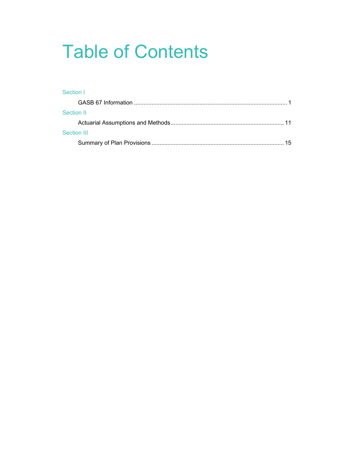# Table of Contents

# Section I GASB 67 Information ................................................................................................ 1 Section II Actuarial Assumptions and Methods ....................................................................... 11 Section III Summary of Plan Provisions ................................................................................... 15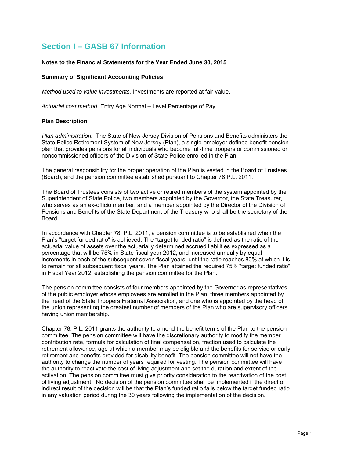# **Section I – GASB 67 Information**

#### **Notes to the Financial Statements for the Year Ended June 30, 2015**

#### **Summary of Significant Accounting Policies**

*Method used to value investments.* Investments are reported at fair value.

*Actuarial cost method*. Entry Age Normal – Level Percentage of Pay

#### **Plan Description**

*Plan administration.* The State of New Jersey Division of Pensions and Benefits administers the State Police Retirement System of New Jersey (Plan), a single-employer defined benefit pension plan that provides pensions for all individuals who become full-time troopers or commissioned or noncommissioned officers of the Division of State Police enrolled in the Plan.

The general responsibility for the proper operation of the Plan is vested in the Board of Trustees (Board), and the pension committee established pursuant to Chapter 78 P.L. 2011.

The Board of Trustees consists of two active or retired members of the system appointed by the Superintendent of State Police, two members appointed by the Governor, the State Treasurer, who serves as an ex-officio member, and a member appointed by the Director of the Division of Pensions and Benefits of the State Department of the Treasury who shall be the secretary of the Board.

In accordance with Chapter 78, P.L. 2011, a pension committee is to be established when the Plan's "target funded ratio" is achieved. The "target funded ratio" is defined as the ratio of the actuarial value of assets over the actuarially determined accrued liabilities expressed as a percentage that will be 75% in State fiscal year 2012, and increased annually by equal increments in each of the subsequent seven fiscal years, until the ratio reaches 80% at which it is to remain for all subsequent fiscal years. The Plan attained the required 75% "target funded ratio" in Fiscal Year 2012, establishing the pension committee for the Plan.

The pension committee consists of four members appointed by the Governor as representatives of the public employer whose employees are enrolled in the Plan, three members appointed by the head of the State Troopers Fraternal Association, and one who is appointed by the head of the union representing the greatest number of members of the Plan who are supervisory officers having union membership.

Chapter 78, P.L. 2011 grants the authority to amend the benefit terms of the Plan to the pension committee. The pension committee will have the discretionary authority to modify the member contribution rate, formula for calculation of final compensation, fraction used to calculate the retirement allowance, age at which a member may be eligible and the benefits for service or early retirement and benefits provided for disability benefit. The pension committee will not have the authority to change the number of years required for vesting. The pension committee will have the authority to reactivate the cost of living adjustment and set the duration and extent of the activation. The pension committee must give priority consideration to the reactivation of the cost of living adjustment. No decision of the pension committee shall be implemented if the direct or indirect result of the decision will be that the Plan's funded ratio falls below the target funded ratio in any valuation period during the 30 years following the implementation of the decision.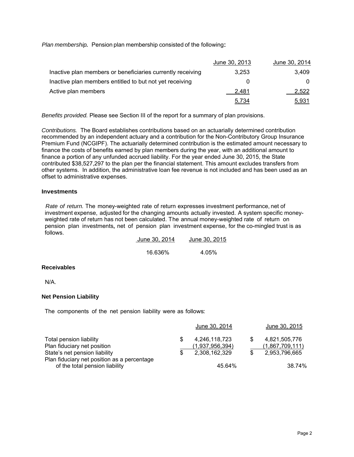*Plan membership.* Pension plan membership consisted of the following:

|                                                            | June 30, 2013 | June 30, 2014 |
|------------------------------------------------------------|---------------|---------------|
| Inactive plan members or beneficiaries currently receiving | 3.253         | 3.409         |
| Inactive plan members entitled to but not yet receiving    |               |               |
| Active plan members                                        | 2.481         | 2,522         |
|                                                            | 5,734         | <u>5,931</u>  |

*Benefits provided.* Please see Section III of the report for a summary of plan provisions.

*Contributions.* The Board establishes contributions based on an actuarially determined contribution recommended by an independent actuary and a contribution for the Non-Contributory Group Insurance Premium Fund (NCGIPF). The actuarially determined contribution is the estimated amount necessary to finance the costs of benefits earned by plan members during the year, with an additional amount to finance a portion of any unfunded accrued liability. For the year ended June 30, 2015, the State contributed \$38,527,297 to the plan per the financial statement. This amount excludes transfers from other systems. In addition, the administrative loan fee revenue is not included and has been used as an offset to administrative expenses.

#### **Investments**

*Rate of return.* The money-weighted rate of return expresses investment performance, net of investment expense, adjusted for the changing amounts actually invested. A system specific moneyweighted rate of return has not been calculated. The annual money-weighted rate of return on pension plan investments, net of pension plan investment expense, for the co-mingled trust is as follows.

| June 30, 2014 | June 30, 2015 |
|---------------|---------------|
| 16.636%       | 4.05%         |

#### **Receivables**

N/A.

#### **Net Pension Liability**

The components of the net pension liability were as follows:

|                                             | June 30, 2014   | June 30, 2015   |
|---------------------------------------------|-----------------|-----------------|
| Total pension liability                     | 4.246.118.723   | 4,821,505,776   |
| Plan fiduciary net position                 | (1,937,956,394) | (1,867,709,111) |
| State's net pension liability               | 2,308,162,329   | 2,953,796,665   |
| Plan fiduciary net position as a percentage |                 |                 |
| of the total pension liability              | 45.64%          | 38.74%          |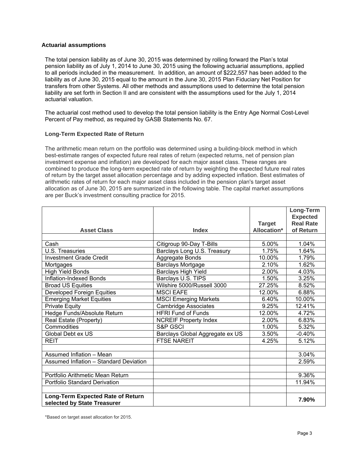#### **Actuarial assumptions**

The total pension liability as of June 30, 2015 was determined by rolling forward the Plan's total pension liability as of July 1, 2014 to June 30, 2015 using the following actuarial assumptions, applied to all periods included in the measurement. In addition, an amount of \$222,557 has been added to the liability as of June 30, 2015 equal to the amount in the June 30, 2015 Plan Fiduciary Net Position for transfers from other Systems. All other methods and assumptions used to determine the total pension liability are set forth in Section II and are consistent with the assumptions used for the July 1, 2014 actuarial valuation.

The actuarial cost method used to develop the total pension liability is the Entry Age Normal Cost-Level Percent of Pay method, as required by GASB Statements No. 67.

#### **Long-Term Expected Rate of Return**

The arithmetic mean return on the portfolio was determined using a building-block method in which best-estimate ranges of expected future real rates of return (expected returns, net of pension plan investment expense and inflation) are developed for each major asset class. These ranges are combined to produce the long-term expected rate of return by weighting the expected future real rates of return by the target asset allocation percentage and by adding expected inflation. Best estimates of arithmetic rates of return for each major asset class included in the pension plan's target asset allocation as of June 30, 2015 are summarized in the following table. The capital market assumptions are per Buck's investment consulting practice for 2015.

|                                                                  |                                 |                                     | Long-Term                           |
|------------------------------------------------------------------|---------------------------------|-------------------------------------|-------------------------------------|
|                                                                  |                                 |                                     | <b>Expected</b><br><b>Real Rate</b> |
| <b>Asset Class</b>                                               | <b>Index</b>                    | <b>Target</b><br><b>Allocation*</b> | of Return                           |
|                                                                  |                                 |                                     |                                     |
| Cash                                                             | Citigroup 90-Day T-Bills        | 5.00%                               | 1.04%                               |
| U.S. Treasuries                                                  | Barclays Long U.S. Treasury     | 1.75%                               | 1.64%                               |
| <b>Investment Grade Credit</b>                                   | Aggregate Bonds                 | 10.00%                              | 1.79%                               |
| Mortgages                                                        | <b>Barclays Mortgage</b>        | 2.10%                               | 1.62%                               |
| <b>High Yield Bonds</b>                                          | <b>Barclays High Yield</b>      | 2.00%                               | 4.03%                               |
| Inflation-Indexed Bonds                                          | Barclays U.S. TIPS              | 1.50%                               | 3.25%                               |
| <b>Broad US Equities</b>                                         | Wilshire 5000/Russell 3000      | 27.25%                              | 8.52%                               |
| <b>Developed Foreign Equities</b>                                | <b>MSCI EAFE</b>                | 12.00%                              | 6.88%                               |
| <b>Emerging Market Equities</b>                                  | <b>MSCI Emerging Markets</b>    | 6.40%                               | 10.00%                              |
| <b>Private Equity</b>                                            | <b>Cambridge Associates</b>     | 9.25%                               | 12.41%                              |
| Hedge Funds/Absolute Return                                      | <b>HFRI Fund of Funds</b>       | 12.00%                              | 4.72%                               |
| Real Estate (Property)                                           | <b>NCREIF Property Index</b>    | 2.00%                               | 6.83%                               |
| <b>Commodities</b>                                               | S&P GSCI                        | 1.00%                               | 5.32%                               |
| Global Debt ex US                                                | Barclays Global Aggregate ex US | 3.50%                               | $-0.40%$                            |
| <b>REIT</b>                                                      | <b>FTSE NAREIT</b>              | 4.25%                               | 5.12%                               |
|                                                                  |                                 |                                     |                                     |
| Assumed Inflation - Mean                                         |                                 |                                     | 3.04%                               |
| Assumed Inflation - Standard Deviation                           |                                 |                                     | 2.59%                               |
|                                                                  |                                 |                                     |                                     |
| Portfolio Arithmetic Mean Return                                 |                                 |                                     | 9.36%                               |
| <b>Portfolio Standard Derivation</b>                             |                                 |                                     | 11.94%                              |
|                                                                  |                                 |                                     |                                     |
| Long-Term Expected Rate of Return<br>selected by State Treasurer |                                 |                                     | 7.90%                               |
|                                                                  |                                 |                                     |                                     |

\*Based on target asset allocation for 2015.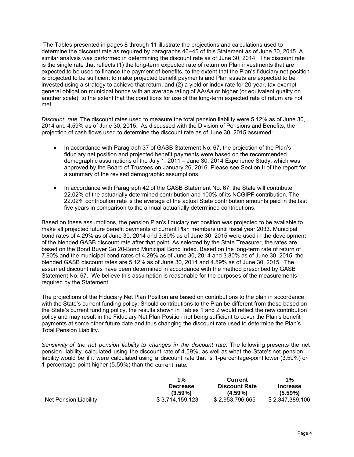The Tables presented in pages 8 through 11 illustrate the projections and calculations used to determine the discount rate as required by paragraphs 40−45 of this Statement as of June 30, 2015. A similar analysis was performed in determining the discount rate as of June 30, 2014. The discount rate is the single rate that reflects (1) the long-term expected rate of return on Plan investments that are expected to be used to finance the payment of benefits, to the extent that the Plan's fiduciary net position is projected to be sufficient to make projected benefit payments and Plan assets are expected to be invested using a strategy to achieve that return, and (2) a yield or index rate for 20-year, tax-exempt general obligation municipal bonds with an average rating of AA/Aa or higher (or equivalent quality on another scale), to the extent that the conditions for use of the long-term expected rate of return are not met.

*Discount rate.* The discount rates used to measure the total pension liability were 5.12% as of June 30, 2014 and 4.59% as of June 30, 2015. As discussed with the Division of Pensions and Benefits, the projection of cash flows used to determine the discount rate as of June 30, 2015 assumed:

- In accordance with Paragraph 37 of GASB Statement No. 67, the projection of the Plan's fiduciary net position and projected benefit payments were based on the recommended demographic assumptions of the July 1, 2011 – June 30, 2014 Experience Study, which was approved by the Board of Trustees on January 26, 2016. Please see Section II of the report for a summary of the revised demographic assumptions.
- In accordance with Paragraph 42 of the GASB Statement No. 67, the State will contribute 22.02% of the actuarially determined contribution and 100% of its NCGIPF contribution. The 22.02% contribution rate is the average of the actual State contribution amounts paid in the last five years in comparison to the annual actuarially determined contributions.

Based on these assumptions, the pension Plan's fiduciary net position was projected to be available to make all projected future benefit payments of current Plan members until fiscal year 2033. Municipal bond rates of 4.29% as of June 30, 2014 and 3.80% as of June 30, 2015 were used in the development of the blended GASB discount rate after that point. As selected by the State Treasurer, the rates are based on the Bond Buyer Go 20-Bond Municipal Bond Index. Based on the long-term rate of return of 7.90% and the municipal bond rates of 4.29% as of June 30, 2014 and 3.80% as of June 30, 2015, the blended GASB discount rates are 5.12% as of June 30, 2014 and 4.59% as of June 30, 2015. The assumed discount rates have been determined in accordance with the method prescribed by GASB Statement No. 67. We believe this assumption is reasonable for the purposes of the measurements required by the Statement.

The projections of the Fiduciary Net Plan Position are based on contributions to the plan in accordance with the State's current funding policy. Should contributions to the Plan be different from those based on the State's current funding policy, the results shown in Tables 1 and 2 would reflect the new contribution policy and may result in the Fiduciary Net Plan Position not being sufficient to cover the Plan's benefit payments at some other future date and thus changing the discount rate used to determine the Plan's Total Pension Liability.

*Sensitivity of the net pension liability to changes in the discount rate.* The following presents the net pension liability, calculated using the discount rate of 4.59%, as well as what the State's net pension liability would be if it were calculated using a discount rate that is 1-percentage-point lower (3.59%) or 1-percentage-point higher (5.59%) than the current rate:

|                       | $1\%$           | <b>Current</b>       | $1\%$           |
|-----------------------|-----------------|----------------------|-----------------|
|                       | <b>Decrease</b> | <b>Discount Rate</b> | <b>Increase</b> |
|                       | (3.59%)         | $(4.59\%)$           | $(5.59\%)$      |
| Net Pension Liability | \$3,714,159,123 | \$2,953,796,665      | \$2,347,389,106 |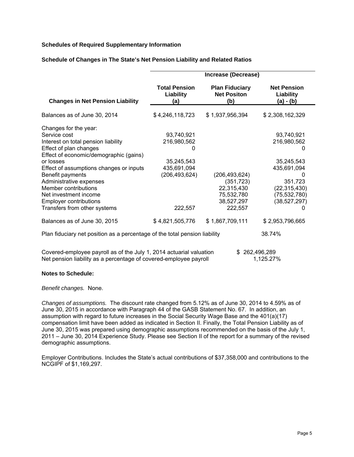#### **Schedules of Required Supplementary Information**

|                                                                                                                                          | Increase (Decrease)                      |                                                    |                                              |  |  |  |  |  |
|------------------------------------------------------------------------------------------------------------------------------------------|------------------------------------------|----------------------------------------------------|----------------------------------------------|--|--|--|--|--|
| <b>Changes in Net Pension Liability</b>                                                                                                  | <b>Total Pension</b><br>Liability<br>(a) | <b>Plan Fiduciary</b><br><b>Net Positon</b><br>(b) | <b>Net Pension</b><br>Liability<br>(a) - (b) |  |  |  |  |  |
| Balances as of June 30, 2014                                                                                                             | \$4,246,118,723                          | \$1,937,956,394                                    | \$2,308,162,329                              |  |  |  |  |  |
| Changes for the year:                                                                                                                    |                                          |                                                    |                                              |  |  |  |  |  |
| Service cost                                                                                                                             | 93,740,921                               |                                                    | 93,740,921                                   |  |  |  |  |  |
| Interest on total pension liability                                                                                                      | 216,980,562                              |                                                    | 216,980,562                                  |  |  |  |  |  |
| Effect of plan changes                                                                                                                   |                                          |                                                    | O                                            |  |  |  |  |  |
| Effect of economic/demographic (gains)                                                                                                   |                                          |                                                    |                                              |  |  |  |  |  |
| or losses                                                                                                                                | 35,245,543                               |                                                    | 35,245,543                                   |  |  |  |  |  |
| Effect of assumptions changes or inputs                                                                                                  | 435,691,094                              |                                                    | 435,691,094                                  |  |  |  |  |  |
| Benefit payments                                                                                                                         | (206,493,624)                            | (206, 493, 624)                                    | 0                                            |  |  |  |  |  |
| Administrative expenses                                                                                                                  |                                          | (351, 723)                                         | 351,723                                      |  |  |  |  |  |
| Member contributions                                                                                                                     |                                          | 22,315,430                                         | (22, 315, 430)                               |  |  |  |  |  |
| Net investment income                                                                                                                    |                                          | 75,532,780                                         | (75, 532, 780)                               |  |  |  |  |  |
| <b>Employer contributions</b>                                                                                                            |                                          | 38,527,297                                         | (38, 527, 297)                               |  |  |  |  |  |
| Transfers from other systems                                                                                                             | 222,557                                  | 222,557                                            | 0                                            |  |  |  |  |  |
| Balances as of June 30, 2015                                                                                                             | \$4,821,505,776                          | \$1,867,709,111                                    | \$2,953,796,665                              |  |  |  |  |  |
| Plan fiduciary net position as a percentage of the total pension liability                                                               |                                          |                                                    | 38.74%                                       |  |  |  |  |  |
| Covered-employee payroll as of the July 1, 2014 actuarial valuation<br>Net pension liability as a percentage of covered-employee payroll |                                          | \$                                                 | 262,496,289<br>1,125.27%                     |  |  |  |  |  |

#### **Schedule of Changes in The State's Net Pension Liability and Related Ratios**

#### **Notes to Schedule:**

#### *Benefit changes.* None.

*Changes of assumptions.* The discount rate changed from 5.12% as of June 30, 2014 to 4.59% as of June 30, 2015 in accordance with Paragraph 44 of the GASB Statement No. 67. In addition, an assumption with regard to future increases in the Social Security Wage Base and the 401(a)(17) compensation limit have been added as indicated in Section II. Finally, the Total Pension Liability as of June 30, 2015 was prepared using demographic assumptions recommended on the basis of the July 1, 2011 – June 30, 2014 Experience Study. Please see Section II of the report for a summary of the revised demographic assumptions.

Employer Contributions. Includes the State's actual contributions of \$37,358,000 and contributions to the NCGIPF of \$1,169,297.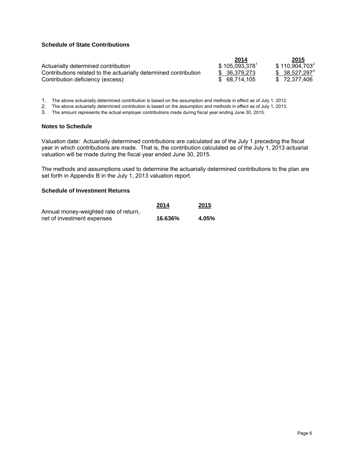#### **Schedule of State Contributions**

|                                                                  | 2014          | 2015             |
|------------------------------------------------------------------|---------------|------------------|
| Actuarially determined contribution                              | \$105,093,378 | $$110,904,703^2$ |
| Contributions related to the actuarially determined contribution | \$ 36.379.273 | $$38,527,297^3$  |
| Contribution deficiency (excess)                                 | \$ 68.714.105 | \$72.377.406     |

1. The above actuarially determined contribution is based on the assumption and methods in effect as of July 1, 2012.<br>2. The above actuarially determined contribution is based on the assumption and methods in effect as of

2. The above actuarially determined contribution is based on the assumption and methods in effect as of July 1, 2013.

3. The amount represents the actual employer contributions made during fiscal year ending June 30, 2015.

#### **Notes to Schedule**

Valuation date: Actuarially determined contributions are calculated as of the July 1 preceding the fiscal year in which contributions are made. That is, the contribution calculated as of the July 1, 2013 actuarial valuation will be made during the fiscal year ended June 30, 2015.

The methods and assumptions used to determine the actuarially determined contributions to the plan are set forth in Appendix B in the July 1, 2013 valuation report.

#### **Schedule of Investment Returns**

|                                       | 2014    | 2015  |
|---------------------------------------|---------|-------|
| Annual money-weighted rate of return, |         |       |
| net of investment expenses            | 16.636% | 4.05% |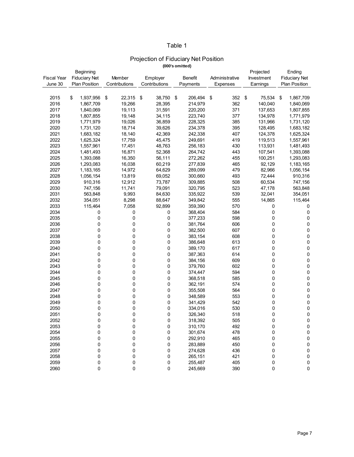## Table 1

# Projection of Fiduciary Net Position

**(000's omitted)**

| Beginning   |                      |               |                            |               |                | Projected    | Ending               |  |
|-------------|----------------------|---------------|----------------------------|---------------|----------------|--------------|----------------------|--|
| Fiscal Year | <b>Fiduciary Net</b> | Member        | Employer<br><b>Benefit</b> |               | Administrative | Investment   | <b>Fiduciary Net</b> |  |
| June 30     | <b>Plan Position</b> | Contributions | Contributions              | Payments      | Expenses       | Earnings     | Plan Position        |  |
|             |                      |               |                            |               |                |              |                      |  |
| 2015        | \$<br>1,937,956      | \$<br>22,315  | \$<br>38,750               | \$<br>206.494 | 352<br>\$      | \$<br>75,534 | \$<br>1,867,709      |  |
| 2016        | 1,867,709            | 19,266        | 28,395                     | 214,979       | 362            | 140,040      | 1,840,069            |  |
| 2017        | 1,840,069            | 19,113        | 31,591                     | 220,200       | 371            | 137,653      | 1,807,855            |  |
| 2018        | 1,807,855            | 19,148        | 34,115                     | 223,740       | 377            | 134,978      | 1,771,979            |  |
| 2019        | 1,771,979            | 19,026        | 36,859                     | 228,325       | 385            | 131,966      | 1,731,120            |  |
| 2020        | 1,731,120            | 18,714        | 39,626                     | 234,378       | 395            | 128,495      | 1,683,182            |  |
| 2021        | 1,683,182            | 18,140        | 42,369                     | 242,338       | 407            | 124,378      | 1,625,324            |  |
| 2022        | 1,625,324            | 17,759        | 45,475                     | 249,691       | 419            | 119,513      | 1,557,961            |  |
| 2023        | 1,557,961            | 17,451        | 48,763                     | 256,183       | 430            | 113,931      | 1,481,493            |  |
| 2024        | 1,481,493            | 16,871        | 52,368                     | 264,742       | 443            | 107,541      | 1,393,088            |  |
| 2025        | 1,393,088            | 16,350        | 56,111                     | 272,262       | 455            | 100,251      | 1,293,083            |  |
| 2026        | 1,293,083            | 16,038        | 60,219                     | 277,839       | 465            | 92,129       | 1,183,165            |  |
| 2027        | 1,183,165            | 14,972        | 64,629                     | 289,099       | 479            | 82,966       | 1,056,154            |  |
| 2028        | 1,056,154            | 13,819        | 69,052                     | 300,660       | 493            | 72,444       | 910,316              |  |
| 2029        | 910,316              | 12,912        | 73,787                     | 309,885       | 508            | 60,534       | 747,156              |  |
| 2030        | 747,156              | 11,741        | 79,091                     | 320,795       | 523            | 47,178       | 563,848              |  |
| 2031        | 563,848              | 9,993         | 84,630                     | 335,922       | 539            | 32,041       | 354,051              |  |
| 2032        | 354,051              | 8,298         | 88,647                     | 349,842       | 555            | 14,865       | 115,464              |  |
| 2033        | 115,464              | 7,058         | 92,899                     | 359,390       | 570            | 0            | 0                    |  |
| 2034        | 0                    | 0             | 0                          | 368,404       | 584            | 0            | 0                    |  |
| 2035        | 0                    | 0             | 0                          | 377,233       | 598            | 0            | $\pmb{0}$            |  |
| 2036        | 0                    | 0             | 0                          | 381,764       | 606            | 0            | 0                    |  |
| 2037        | 0                    | 0             | 0                          | 382,500       | 607            | 0            | $\pmb{0}$            |  |
| 2038        | 0                    | 0             | 0                          | 383,154       | 608            | 0            | 0                    |  |
| 2039        | 0                    | $\pmb{0}$     | 0                          | 386,648       | 613            | 0            | 0                    |  |
| 2040        | $\mathbf 0$          | $\pmb{0}$     | 0                          | 389,170       | 617            | 0            | $\mathsf 0$          |  |
| 2041        | 0                    | 0             | 0                          | 387,363       | 614            | 0            | $\pmb{0}$            |  |
| 2042        | 0                    | 0             | 0                          | 384,156       | 609            | 0            | $\pmb{0}$            |  |
| 2043        | 0                    | $\pmb{0}$     | 0                          | 379,760       | 602            | 0            | $\pmb{0}$            |  |
| 2044        | 0                    | 0             | 0                          | 374,447       | 594            | 0            | 0                    |  |
| 2045        | 0                    | 0             | 0                          | 368,518       | 585            | 0            | 0                    |  |
| 2046        | $\mathbf 0$          | 0             | 0                          | 362,191       | 574            | 0            | 0                    |  |
| 2047        | $\mathbf 0$          | 0             | 0                          | 355,508       | 564            | 0            | 0                    |  |
| 2048        | $\mathbf 0$          | 0             | 0                          | 348,589       | 553            | 0            | 0                    |  |
| 2049        | $\mathbf 0$          | 0             | 0                          | 341,429       | 542            | 0            | 0                    |  |
| 2050        | 0                    | $\pmb{0}$     | 0                          | 334,016       | 530            | 0            | $\pmb{0}$            |  |
| 2051        | 0                    | $\mathsf 0$   | 0                          | 326,340       | 518            | 0            | 0                    |  |
| 2052        | 0                    | $\mathsf 0$   | 0                          | 318,392       | 505            | 0            | 0                    |  |
| 2053        | 0                    | 0             | 0                          | 310,170       | 492            | 0            | 0                    |  |
| 2054        | 0                    | 0             | 0                          | 301,674       | 478            | 0            | 0                    |  |
| 2055        | 0                    | 0             | 0                          | 292,910       | 465            | 0            | $\pmb{0}$            |  |
| 2056        | 0                    | 0             | 0                          | 283,889       | 450            | 0            | 0                    |  |
| 2057        | 0                    | 0             | 0                          | 274,628       | 436            | 0            | 0                    |  |
| 2058        | 0                    | 0             | 0                          | 265,151       | 421            | 0            | 0                    |  |
| 2059        | $\mathbf 0$          | $\pmb{0}$     | 0                          | 255,487       | 405            | 0            | 0                    |  |
| 2060        | $\Omega$             | $\mathbf 0$   | 0                          | 245,669       | 390            | 0            | 0                    |  |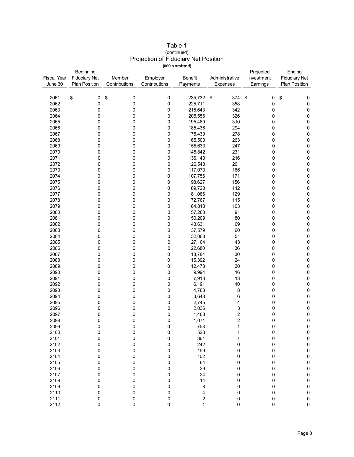| Table 1                              |
|--------------------------------------|
| (continued)                          |
| Projection of Fiduciary Net Position |
| (000's omitted)                      |

|                    | Beginning            |               |               |                  |                |            | Ending               |
|--------------------|----------------------|---------------|---------------|------------------|----------------|------------|----------------------|
| <b>Fiscal Year</b> | <b>Fiduciary Net</b> | Member        | Employer      | <b>Benefit</b>   | Administrative | Investment | <b>Fiduciary Net</b> |
| June 30            | <b>Plan Position</b> | Contributions | Contributions | Payments         | Expenses       | Earnings   | Plan Position        |
|                    |                      |               |               |                  |                |            |                      |
| 2061               | \$<br>0              | \$<br>0       | 0             | 235,732 \$       | 374            | \$<br>0    | $\pmb{0}$            |
|                    |                      |               |               |                  |                |            | \$                   |
| 2062               | 0                    | 0             | 0             | 225,711          | 358            | 0          | $\pmb{0}$            |
| 2063               | 0                    | 0             | 0             | 215,643          | 342            | 0          | $\pmb{0}$            |
| 2064               | 0                    | 0             | 0             | 205,556          | 326            | 0          | 0                    |
| 2065               | 0                    | 0             | 0             | 195,480          | 310            | 0          | $\pmb{0}$            |
| 2066               | 0                    | 0             | 0             | 185,436          | 294            | 0          | $\pmb{0}$            |
| 2067               | 0                    | 0             | 0             | 175,439          | 278            | 0          | 0                    |
| 2068               | 0                    | 0             | 0             | 165,503          | 263            | 0          | 0                    |
| 2069               | 0                    | 0             | 0             | 155,633          | 247            | 0          | $\mathsf 0$          |
| 2070               | 0                    | 0             | 0             | 145,842          | 231            | 0          | $\pmb{0}$            |
| 2071               | 0                    | 0             | 0             | 136,140          | 216            | 0          | $\pmb{0}$            |
|                    |                      |               |               |                  |                |            |                      |
| 2072               | 0                    | 0             | 0             | 126,543          | 201            | 0          | $\mathbf 0$          |
| 2073               | 0                    | 0             | $\pmb{0}$     | 117,073          | 186            | 0          | $\pmb{0}$            |
| 2074               | 0                    | 0             | 0             | 107,756          | 171            | 0          | $\pmb{0}$            |
| 2075               | 0                    | 0             | 0             | 98,627           | 156            | 0          | $\pmb{0}$            |
| 2076               | 0                    | 0             | 0             | 89,720           | 142            | 0          | $\pmb{0}$            |
| 2077               | 0                    | 0             | 0             | 81,086           | 129            | 0          | $\pmb{0}$            |
| 2078               | 0                    | 0             | 0             | 72,767           | 115            | 0          | $\pmb{0}$            |
| 2079               | 0                    | 0             | 0             | 64,818           | 103            | 0          | 0                    |
| 2080               | 0                    | 0             | 0             | 57,283           | 91             | 0          | $\pmb{0}$            |
| 2081               | 0                    | 0             | 0             | 50,209           | 80             | 0          | $\pmb{0}$            |
| 2082               | 0                    | 0             |               |                  | 69             |            |                      |
|                    |                      |               | 0             | 43,631           |                | 0          | $\pmb{0}$            |
| 2083               | 0                    | 0             | 0             | 37,579           | 60             | 0          | $\pmb{0}$            |
| 2084               | 0                    | 0             | 0             | 32,068           | 51             | 0          | $\mathsf 0$          |
| 2085               | 0                    | 0             | 0             | 27,104           | 43             | 0          | $\mathsf 0$          |
| 2086               | 0                    | 0             | 0             | 22,680           | 36             | 0          | $\pmb{0}$            |
| 2087               | 0                    | 0             | 0             | 18,784           | 30             | 0          | $\pmb{0}$            |
| 2088               | 0                    | 0             | 0             | 15,392           | 24             | 0          | $\pmb{0}$            |
| 2089               | 0                    | 0             | 0             | 12,473           | 20             | 0          | $\pmb{0}$            |
| 2090               | 0                    | 0             | 0             | 9,994            | 16             | 0          | $\pmb{0}$            |
| 2091               | 0                    | 0             | 0             | 7,913            | 13             | 0          | $\pmb{0}$            |
| 2092               | 0                    | 0             | 0             | 6,191            | 10             | 0          | $\pmb{0}$            |
| 2093               | 0                    | 0             | 0             | 4,783            | 8              | 0          | $\pmb{0}$            |
|                    |                      |               |               |                  |                |            |                      |
| 2094               | 0                    | 0             | 0             | 3,648            | 6              | 0          | $\pmb{0}$            |
| 2095               | 0                    | 0             | 0             | 2,745            | 4              | 0          | $\mathbf 0$          |
| 2096               | 0                    | 0             | 0             | 2,036            | 3              | 0          | $\mathsf 0$          |
| 2097               | 0                    | 0             | 0             | 1,488            | 2              | 0          | $\pmb{0}$            |
| 2098               | 0                    | 0             | 0             | 1,071            | $\overline{c}$ | 0          | $\mathsf 0$          |
| 2099               | 0                    | 0             | 0             | 758              | 1              | 0          | 0                    |
| 2100               | $\pmb{0}$            | $\pmb{0}$     | 0             | 528              | 1              | 0          | $\pmb{0}$            |
| 2101               | 0                    | 0             | 0             | 361              | 1              | 0          | $\pmb{0}$            |
| 2102               | 0                    | 0             | 0             | 242              | 0              | 0          | $\pmb{0}$            |
| 2103               | 0                    | 0             | 0             | 159              | 0              | 0          | $\pmb{0}$            |
| 2104               | 0                    | 0             | 0             | 102              | 0              | 0          | $\pmb{0}$            |
| 2105               | 0                    | 0             | 0             | 64               | 0              | 0          | $\pmb{0}$            |
|                    |                      |               |               |                  |                |            |                      |
| 2106               | 0                    | 0             | 0             | 39               | 0              | 0          | $\bf{0}$             |
| 2107               | 0                    | 0             | 0             | 24               | 0              | 0          | $\pmb{0}$            |
| 2108               | 0                    | 0             | 0             | 14               | 0              | 0          | $\bf{0}$             |
| 2109               | 0                    | 0             | 0             | 8                | 0              | 0          | $\bf{0}$             |
| 2110               | 0                    | 0             | 0             | 4                | 0              | 0          | $\pmb{0}$            |
| 2111               | 0                    | $\pmb{0}$     | 0             | $\boldsymbol{2}$ | 0              | 0          | $\pmb{0}$            |
| 2112               | 0                    | 0             | $\pmb{0}$     | 1                | 0              | 0          | 0                    |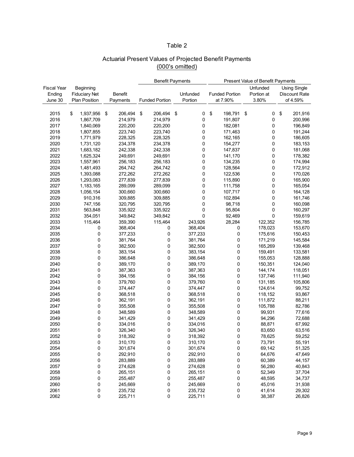### Table 2

## Actuarial Present Values of Projected Benefit Payments (000's omitted)

|             |                      |                | <b>Benefit Payments</b> |                       |    |          | Present Value of Benefit Payments |                       |    |            |    |                      |
|-------------|----------------------|----------------|-------------------------|-----------------------|----|----------|-----------------------------------|-----------------------|----|------------|----|----------------------|
| Fiscal Year | Beginning            |                | Unfunded                |                       |    |          | <b>Using Single</b>               |                       |    |            |    |                      |
| Ending      | <b>Fiduciary Net</b> | <b>Benefit</b> |                         |                       |    | Unfunded |                                   | <b>Funded Portion</b> |    | Portion at |    | <b>Discount Rate</b> |
| June 30     | <b>Plan Position</b> | Payments       |                         | <b>Funded Portion</b> |    | Portion  |                                   | at 7.90%              |    | 3.80%      |    | of 4.59%             |
|             |                      |                |                         |                       |    |          |                                   |                       |    |            |    |                      |
|             |                      | \$             |                         |                       |    |          | \$                                |                       |    |            |    |                      |
| 2015        | \$<br>1,937,956      | 206,494        | \$                      | 206,494               | \$ | 0        |                                   | 198,791               | \$ | 0          | \$ | 201,916              |
| 2016        | 1,867,709            | 214,979        |                         | 214,979               |    | 0        |                                   | 191,807               |    | 0          |    | 200,996              |
| 2017        | 1,840,069            | 220,200        |                         | 220,200               |    | 0        |                                   | 182,081               |    | 0          |    | 196,849              |
| 2018        | 1,807,855            | 223,740        |                         | 223,740               |    | 0        |                                   | 171,463               |    | 0          |    | 191,244              |
| 2019        | 1,771,979            | 228,325        |                         | 228,325               |    | 0        |                                   | 162,165               |    | 0          |    | 186,605              |
| 2020        | 1,731,120            | 234,378        |                         | 234,378               |    | 0        |                                   | 154,277               |    | 0          |    | 183,153              |
| 2021        | 1,683,182            | 242,338        |                         | 242,338               |    | 0        |                                   | 147,837               |    | 0          |    | 181,068              |
| 2022        | 1,625,324            | 249,691        |                         | 249,691               |    | 0        |                                   | 141,170               |    | 0          |    | 178,382              |
| 2023        | 1,557,961            | 256,183        |                         | 256,183               |    | 0        |                                   | 134,235               |    | 0          |    | 174,994              |
| 2024        | 1,481,493            | 264,742        |                         | 264,742               |    | 0        |                                   | 128,564               |    | 0          |    | 172,912              |
| 2025        | 1,393,088            | 272,262        |                         | 272,262               |    | 0        |                                   | 122,536               |    | 0          |    | 170,026              |
| 2026        | 1,293,083            | 277,839        |                         | 277,839               |    | 0        |                                   | 115,890               |    | 0          |    | 165,900              |
| 2027        | 1,183,165            | 289,099        |                         | 289,099               |    | 0        |                                   | 111,758               |    | 0          |    | 165,054              |
| 2028        | 1,056,154            | 300,660        |                         | 300,660               |    | 0        |                                   | 107,717               |    | 0          |    | 164,128              |
| 2029        | 910,316              | 309,885        |                         | 309,885               |    | 0        |                                   | 102,894               |    | 0          |    | 161,746              |
| 2030        | 747,156              | 320,795        |                         | 320,795               |    | 0        |                                   | 98,718                |    | 0          |    | 160,098              |
| 2031        | 563,848              | 335,922        |                         | 335,922               |    | 0        |                                   | 95,804                |    | 0          |    | 160,297              |
| 2032        | 354,051              | 349,842        |                         | 349,842               |    | 0        |                                   | 92,469                |    | 0          |    | 159,619              |
| 2033        | 115,464              | 359,390        |                         | 115,464               |    | 243,926  |                                   | 28,284                |    | 122,352    |    | 156,785              |
| 2034        | 0                    | 368,404        |                         | 0                     |    | 368,404  |                                   | 0                     |    | 178,023    |    | 153,670              |
| 2035        | 0                    | 377,233        |                         | 0                     |    | 377,233  |                                   | 0                     |    | 175,616    |    | 150,453              |
| 2036        | 0                    | 381,764        |                         | 0                     |    | 381,764  |                                   | 0                     |    | 171,219    |    | 145,584              |
| 2037        | 0                    | 382,500        |                         | 0                     |    | 382,500  |                                   | 0                     |    | 165,269    |    | 139,468              |
| 2038        | $\mathbf 0$          | 383,154        |                         | 0                     |    | 383,154  |                                   | 0                     |    | 159,491    |    | 133,581              |
| 2039        | 0                    | 386,648        |                         | 0                     |    | 386,648  |                                   | 0                     |    | 155,053    |    | 128,888              |
| 2040        | 0                    | 389,170        |                         | 0                     |    | 389,170  |                                   | 0                     |    | 150,351    |    | 124,040              |
| 2041        | 0                    | 387,363        |                         | 0                     |    | 387,363  |                                   | 0                     |    | 144,174    |    | 118,051              |
| 2042        | 0                    | 384,156        |                         | 0                     |    | 384,156  |                                   | 0                     |    | 137,746    |    | 111,940              |
| 2043        |                      |                |                         |                       |    |          |                                   |                       |    |            |    |                      |
|             | 0                    | 379,760        |                         | 0                     |    | 379,760  |                                   | 0                     |    | 131,185    |    | 105,806              |
| 2044        | 0                    | 374,447        |                         | 0                     |    | 374,447  |                                   | 0                     |    | 124,614    |    | 99,752               |
| 2045        | 0                    | 368,518        |                         | 0                     |    | 368,518  |                                   | 0                     |    | 118,152    |    | 93,867               |
| 2046        | 0                    | 362,191        |                         | 0                     |    | 362,191  |                                   | 0                     |    | 111,872    |    | 88,211               |
| 2047        | 0                    | 355,508        |                         | 0                     |    | 355,508  |                                   | 0                     |    | 105,788    |    | 82,786               |
| 2048        | 0                    | 348,589        |                         | 0                     |    | 348,589  |                                   | 0                     |    | 99,931     |    | 77,616               |
| 2049        | 0                    | 341,429        |                         | 0                     |    | 341,429  |                                   | 0                     |    | 94,296     |    | 72,688               |
| 2050        | 0                    | 334,016        |                         | 0                     |    | 334,016  |                                   | 0                     |    | 88,871     |    | 67,992               |
| 2051        | 0                    | 326,340        |                         | 0                     |    | 326,340  |                                   | 0                     |    | 83,650     |    | 63,516               |
| 2052        | $\mathbf 0$          | 318,392        |                         | 0                     |    | 318,392  |                                   | $\mathbf{0}$          |    | 78,625     |    | 59,252               |
| 2053        | 0                    | 310,170        |                         | $\pmb{0}$             |    | 310,170  |                                   | 0                     |    | 73,791     |    | 55,191               |
| 2054        | 0                    | 301,674        |                         | 0                     |    | 301,674  |                                   | 0                     |    | 69,142     |    | 51,325               |
| 2055        | 0                    | 292,910        |                         | 0                     |    | 292,910  |                                   | 0                     |    | 64,676     |    | 47,649               |
| 2056        | 0                    | 283,889        |                         | 0                     |    | 283,889  |                                   | 0                     |    | 60,389     |    | 44,157               |
| 2057        | 0                    | 274,628        |                         | 0                     |    | 274,628  |                                   | 0                     |    | 56,280     |    | 40,843               |
| 2058        | 0                    | 265,151        |                         | 0                     |    | 265,151  |                                   | 0                     |    | 52,349     |    | 37,704               |
| 2059        | 0                    | 255,487        |                         | 0                     |    | 255,487  |                                   | 0                     |    | 48,595     |    | 34,737               |
| 2060        | 0                    | 245,669        |                         | 0                     |    | 245,669  |                                   | 0                     |    | 45,016     |    | 31,938               |
| 2061        | 0                    | 235,732        |                         | 0                     |    | 235,732  |                                   | 0                     |    | 41,614     |    | 29,302               |
| 2062        | 0                    | 225,711        |                         | 0                     |    | 225,711  |                                   | 0                     |    | 38,387     |    | 26,826               |
|             |                      |                |                         |                       |    |          |                                   |                       |    |            |    |                      |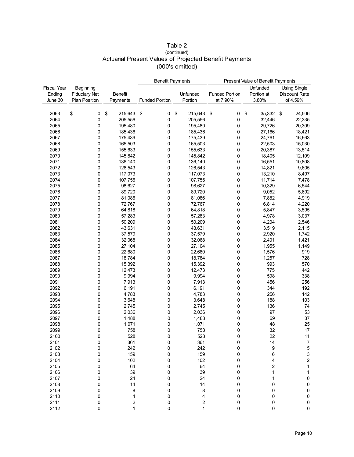|                    |                      |                  | <b>Benefit Payments</b> |                         |                       | Present Value of Benefit Payments   |                         |
|--------------------|----------------------|------------------|-------------------------|-------------------------|-----------------------|-------------------------------------|-------------------------|
| <b>Fiscal Year</b> | Beginning            |                  |                         |                         |                       | Unfunded                            | <b>Using Single</b>     |
| Ending             | <b>Fiduciary Net</b> | <b>Benefit</b>   |                         | Unfunded                | <b>Funded Portion</b> | Portion at                          | <b>Discount Rate</b>    |
| June 30            | <b>Plan Position</b> | Payments         | <b>Funded Portion</b>   | Portion                 | at 7.90%              | 3.80%                               | of 4.59%                |
|                    |                      |                  |                         |                         |                       |                                     |                         |
|                    |                      |                  |                         |                         |                       |                                     |                         |
| 2063               | \$<br>0              | \$<br>215,643    | \$<br>0                 | \$<br>215,643           | \$<br>0               | $\boldsymbol{\mathsf{S}}$<br>35,332 | 24,506<br>\$            |
| 2064               | 0                    | 205,556          | 0                       | 205,556                 | 0                     | 32,446                              | 22,335                  |
| 2065               | 0                    | 195,480          | 0                       | 195,480                 | 0                     | 29,726                              | 20,309                  |
| 2066               | 0                    | 185,436          | 0                       | 185,436                 | 0                     | 27,166                              | 18,421                  |
| 2067               | 0                    | 175,439          | 0                       | 175,439                 | 0                     | 24,761                              | 16,663                  |
| 2068               | 0                    | 165,503          | 0                       | 165,503                 | 0                     | 22,503                              | 15,030                  |
| 2069               | 0                    | 155,633          | 0                       | 155,633                 | 0                     | 20,387                              | 13,514                  |
| 2070               | 0                    | 145,842          | 0                       | 145,842                 | 0                     | 18,405                              | 12,109                  |
| 2071               | 0                    | 136,140          | 0                       | 136,140                 | 0                     | 16,551                              | 10,808                  |
| 2072               | 0                    | 126,543          | 0                       | 126,543                 | 0                     | 14,821                              | 9,605                   |
| 2073               | 0                    | 117,073          | 0                       | 117,073                 | 0                     | 13,210                              | 8,497                   |
| 2074               | 0                    | 107,756          | 0                       | 107,756                 | 0                     | 11,714                              | 7,478                   |
| 2075               | 0                    | 98,627           | 0                       | 98,627                  | 0                     | 10,329                              | 6,544                   |
| 2076               | 0                    | 89,720           | 0                       | 89,720                  | 0                     | 9,052                               | 5,692                   |
| 2077               | 0                    | 81,086           | 0                       | 81,086                  | 0                     | 7,882                               | 4,919                   |
| 2078               | 0                    | 72,767           | 0                       | 72,767                  | 0                     | 6,814                               | 4,220                   |
| 2079               | 0                    | 64,818           | 0                       | 64,818                  | 0                     | 5,847                               | 3,595                   |
| 2080               | 0                    | 57,283           | 0                       | 57,283                  | 0                     | 4,978                               | 3,037                   |
| 2081               | 0                    | 50,209           | 0                       | 50,209                  | 0                     | 4,204                               | 2,546                   |
| 2082               | 0                    | 43,631           | 0                       | 43,631                  | 0                     | 3,519                               | 2,115                   |
| 2083               | 0                    | 37,579           | 0                       | 37,579                  | 0                     | 2,920                               | 1,742                   |
| 2084               | 0                    | 32,068           | 0                       | 32,068                  | 0                     | 2,401                               | 1,421                   |
| 2085               | 0                    | 27,104           | 0                       | 27,104                  | 0                     | 1,955                               | 1,149                   |
| 2086               | 0                    | 22,680           | 0                       | 22,680                  | 0                     | 1,576                               | 919                     |
| 2087               | 0                    | 18,784           | 0                       | 18,784                  | 0                     | 1,257                               | 728                     |
| 2088               | 0                    | 15,392           | 0                       | 15,392                  | 0                     | 993                                 | 570                     |
| 2089               | 0                    | 12,473           | 0                       | 12,473                  | 0                     | 775                                 | 442                     |
| 2090               | 0                    | 9,994            | 0                       | 9,994                   | 0                     | 598                                 | 338                     |
| 2091               | 0                    | 7,913            | 0                       | 7,913                   | 0                     | 456                                 | 256                     |
| 2092               | 0                    | 6,191            | 0                       | 6,191                   | 0                     | 344                                 | 192                     |
| 2093               | 0                    | 4,783            | 0                       | 4,783                   | 0                     | 256                                 | 142                     |
| 2094               | 0                    | 3,648            | 0                       | 3,648                   | 0                     | 188                                 | 103                     |
| 2095               | 0                    | 2,745            | 0                       | 2,745                   | 0                     | 136                                 | 74                      |
| 2096               | 0                    | 2,036            | 0                       | 2,036                   | 0                     | 97                                  | 53                      |
| 2097               | 0                    | 1,488            | 0                       | 1,488                   | 0                     | 69                                  | 37                      |
| 2098               | 0                    | 1,071            | 0                       | 1,071                   | 0                     | 48                                  | 25                      |
| 2099               | 0                    | 758              | 0                       | 758                     | 0                     | 32                                  | 17                      |
| 2100               | 0                    | 528              | 0                       | 528                     | 0                     | 22                                  | 11                      |
| 2101               | 0                    | 361              | 0                       | 361                     | 0                     | 14                                  | $\overline{7}$          |
| 2102               | 0                    | 242              | 0                       | 242                     | 0                     | 9                                   | 5                       |
| 2103               | 0                    | 159              | 0                       | 159                     | 0                     | 6                                   | 3                       |
| 2104               | 0                    | 102              | 0                       | 102                     | 0                     | 4                                   | $\overline{\mathbf{c}}$ |
| 2105               | 0                    | 64               | 0                       | 64                      | 0                     | 2                                   | 1                       |
| 2106               |                      | 39               | 0                       | 39                      |                       | 1                                   | 1                       |
| 2107               | 0<br>0               | 24               |                         |                         | 0<br>0                |                                     |                         |
|                    |                      | 14               | 0                       | 24                      | 0                     | 1                                   | 0                       |
| 2108               | 0                    |                  | 0                       | 14                      |                       | 0                                   | 0                       |
| 2109<br>2110       | 0                    | 8                | 0                       | 8                       | 0                     | 0                                   | $\pmb{0}$               |
|                    | 0                    | 4                | 0                       | 4                       | 0                     | 0                                   | 0                       |
| 2111               | 0                    | $\boldsymbol{2}$ | 0                       | $\overline{\mathbf{c}}$ | 0                     | 0                                   | $\pmb{0}$               |
| 2112               | 0                    | 1                | 0                       | $\mathbf{1}$            | 0                     | 0                                   | 0                       |

### Table 2 Actuarial Present Values of Projected Benefit Payments (000's omitted) (continued)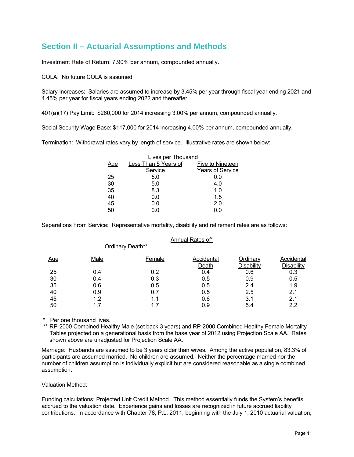## **Section II – Actuarial Assumptions and Methods**

Investment Rate of Return: 7.90% per annum, compounded annually.

Ordinary Death\*\*

COLA: No future COLA is assumed.

Salary Increases: Salaries are assumed to increase by 3.45% per year through fiscal year ending 2021 and 4.45% per year for fiscal years ending 2022 and thereafter.

401(a)(17) Pay Limit: \$260,000 for 2014 increasing 3.00% per annum, compounded annually.

Social Security Wage Base: \$117,000 for 2014 increasing 4.00% per annum, compounded annually.

Termination: Withdrawal rates vary by length of service. Illustrative rates are shown below:

| <b>Lives per Thousand</b> |                         |
|---------------------------|-------------------------|
| Less Than 5 Years of      | Five to Nineteen        |
| Service                   | <b>Years of Service</b> |
| 5.0                       | 0.0                     |
| 5.0                       | 4.0                     |
| 8.3                       | 1.0                     |
| 0.0                       | 1.5                     |
| 0.0                       | 2.0                     |
| 0.0                       | 0.0                     |
|                           |                         |

Separations From Service: Representative mortality, disability and retirement rates are as follows:

#### Annual Rates of\*

| <u>Age</u> | Male | Female | Accidental | Ordinary   | Accidental        |
|------------|------|--------|------------|------------|-------------------|
|            |      |        | Death      | Disability | <b>Disability</b> |
| 25         | 0.4  | 0.2    | 0.4        | 0.6        | 0.3               |
| 30         | 0.4  | 0.3    | 0.5        | 0.9        | 0.5               |
| 35         | 0.6  | 0.5    | 0.5        | 2.4        | 1.9               |
| 40         | 0.9  | 0.7    | 0.5        | 2.5        | 2.1               |
| 45         | 1.2  | 1.1    | 0.6        | 3.1        | 2.1               |
| 50         | 1.7  | 1.7    | 0.9        | 5.4        | 2.2               |
|            |      |        |            |            |                   |

\* Per one thousand lives.

 \*\* RP-2000 Combined Healthy Male (set back 3 years) and RP-2000 Combined Healthy Female Mortality Tables projected on a generational basis from the base year of 2012 using Projection Scale AA. Rates shown above are unadjusted for Projection Scale AA.

Marriage: Husbands are assumed to be 3 years older than wives. Among the active population, 83.3% of participants are assumed married. No children are assumed. Neither the percentage married nor the number of children assumption is individually explicit but are considered reasonable as a single combined assumption.

Valuation Method:

Funding calculations: Projected Unit Credit Method. This method essentially funds the System's benefits accrued to the valuation date. Experience gains and losses are recognized in future accrued liability contributions. In accordance with Chapter 78, P.L. 2011, beginning with the July 1, 2010 actuarial valuation,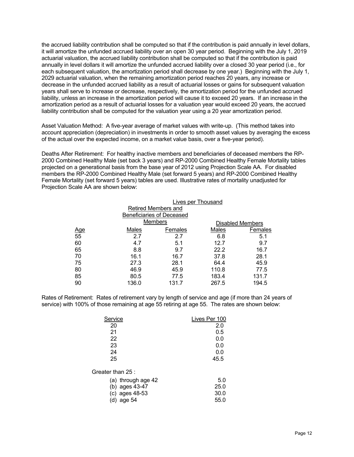the accrued liability contribution shall be computed so that if the contribution is paid annually in level dollars, it will amortize the unfunded accrued liability over an open 30 year period. Beginning with the July 1, 2019 actuarial valuation, the accrued liability contribution shall be computed so that if the contribution is paid annually in level dollars it will amortize the unfunded accrued liability over a closed 30 year period (i.e., for each subsequent valuation, the amortization period shall decrease by one year.) Beginning with the July 1, 2029 actuarial valuation, when the remaining amortization period reaches 20 years, any increase or decrease in the unfunded accrued liability as a result of actuarial losses or gains for subsequent valuation years shall serve to increase or decrease, respectively, the amortization period for the unfunded accrued liability, unless an increase in the amortization period will cause it to exceed 20 years. If an increase in the amortization period as a result of actuarial losses for a valuation year would exceed 20 years, the accrued liability contribution shall be computed for the valuation year using a 20 year amortization period.

Asset Valuation Method: A five-year average of market values with write-up. (This method takes into account appreciation (depreciation) in investments in order to smooth asset values by averaging the excess of the actual over the expected income, on a market value basis, over a five-year period).

Deaths After Retirement: For healthy inactive members and beneficiaries of deceased members the RP-2000 Combined Healthy Male (set back 3 years) and RP-2000 Combined Healthy Female Mortality tables projected on a generational basis from the base year of 2012 using Projection Scale AA. For disabled members the RP-2000 Combined Healthy Male (set forward 5 years) and RP-2000 Combined Healthy Female Mortality (set forward 5 years) tables are used. Illustrative rates of mortality unadjusted for Projection Scale AA are shown below:

|                  |       | Lives per Thousand         |       |                         |
|------------------|-------|----------------------------|-------|-------------------------|
|                  |       | <b>Retired Members and</b> |       |                         |
|                  |       | Beneficiaries of Deceased  |       |                         |
|                  |       | <b>Members</b>             |       | <b>Disabled Members</b> |
|                  | Males | Females                    | Males | Females                 |
| <u>Age</u><br>55 | 2.7   | 2.7                        | 6.8   | 5.1                     |
| 60               | 4.7   | 5.1                        | 12.7  | 9.7                     |
| 65               | 8.8   | 9.7                        | 22.2  | 16.7                    |
| 70               | 16.1  | 16.7                       | 37.8  | 28.1                    |
| 75               | 27.3  | 28.1                       | 64.4  | 45.9                    |
| 80               | 46.9  | 45.9                       | 110.8 | 77.5                    |
| 85               | 80.5  | 77.5                       | 183.4 | 131.7                   |
| 90               | 136.0 | 131.7                      | 267.5 | 194.5                   |

Rates of Retirement: Rates of retirement vary by length of service and age (if more than 24 years of service) with 100% of those remaining at age 55 retiring at age 55. The rates are shown below:

| Service            | Lives Per 100 |
|--------------------|---------------|
| 20                 | 2.0           |
| 21                 | 0.5           |
| 22                 | 0.0           |
| 23                 | 0.0           |
| 24                 | 0.0           |
| 25                 | 45.5          |
| Greater than 25:   |               |
| (a) through age 42 | 5.0           |
| (b) ages 43-47     | 25.0          |
| (c) ages 48-53     | 30.0          |
| age 54<br>(d)      | 55.0          |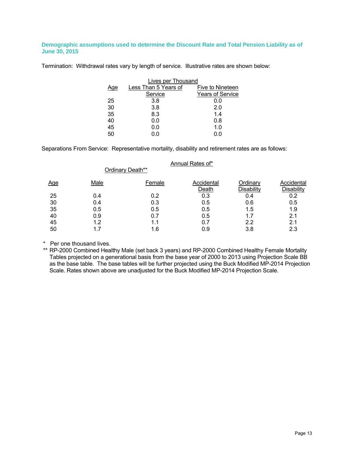#### **Demographic assumptions used to determine the Discount Rate and Total Pension Liability as of June 30, 2015**

Termination: Withdrawal rates vary by length of service. Illustrative rates are shown below:

|     | Lives per Thousand   |                         |
|-----|----------------------|-------------------------|
| Age | Less Than 5 Years of | Five to Nineteen        |
|     | Service              | <b>Years of Service</b> |
| 25  | 3.8                  | 0.0                     |
| 30  | 3.8                  | 2.0                     |
| 35  | 8.3                  | 1.4                     |
| 40  | 0.0                  | 0.8                     |
| 45  | 0.0                  | 1.0                     |
| 50  | 0.0                  | 0.0                     |

Separations From Service: Representative mortality, disability and retirement rates are as follows:

Ordinary Death\*\*

#### Annual Rates of\*

| <u>Age</u> | Male | Female | Accidental<br>Death | Ordinary<br>Disability | Accidental<br>Disability |
|------------|------|--------|---------------------|------------------------|--------------------------|
| 25         | 0.4  | 0.2    | 0.3                 | 0.4                    | 0.2                      |
| 30         | 0.4  | 0.3    | 0.5                 | 0.6                    | 0.5                      |
| 35         | 0.5  | 0.5    | 0.5                 | 1.5                    | 1.9                      |
| 40         | 0.9  | 0.7    | 0.5                 | 1.7                    | 2.1                      |
| 45         | 1.2  | 1.1    | 0.7                 | 2.2                    | 2.1                      |
| 50         | 1.7  | 1.6    | 0.9                 | 3.8                    | 2.3                      |
|            |      |        |                     |                        |                          |

\* Per one thousand lives.

 \*\* RP-2000 Combined Healthy Male (set back 3 years) and RP-2000 Combined Healthy Female Mortality Tables projected on a generational basis from the base year of 2000 to 2013 using Projection Scale BB as the base table. The base tables will be further projected using the Buck Modified MP-2014 Projection Scale. Rates shown above are unadjusted for the Buck Modified MP-2014 Projection Scale.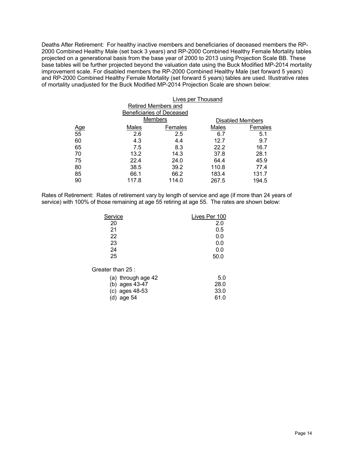Deaths After Retirement: For healthy inactive members and beneficiaries of deceased members the RP-2000 Combined Healthy Male (set back 3 years) and RP-2000 Combined Healthy Female Mortality tables projected on a generational basis from the base year of 2000 to 2013 using Projection Scale BB. These base tables will be further projected beyond the valuation date using the Buck Modified MP-2014 mortality improvement scale. For disabled members the RP-2000 Combined Healthy Male (set forward 5 years) and RP-2000 Combined Healthy Female Mortality (set forward 5 years) tables are used. Illustrative rates of mortality unadjusted for the Buck Modified MP-2014 Projection Scale are shown below:

| <b>Lives per Thousand</b> |         |                                                                           |                         |
|---------------------------|---------|---------------------------------------------------------------------------|-------------------------|
|                           |         |                                                                           |                         |
|                           |         |                                                                           |                         |
|                           |         |                                                                           | <b>Disabled Members</b> |
| Males                     | Females | Males                                                                     | Females                 |
| 2.6                       | 2.5     | 6.7                                                                       | 5.1                     |
| 4.3                       | 4.4     | 12.7                                                                      | 9.7                     |
| 7.5                       | 8.3     | 22.2                                                                      | 16.7                    |
| 13.2                      | 14.3    | 37.8                                                                      | 28.1                    |
| 22.4                      | 24.0    | 64.4                                                                      | 45.9                    |
| 38.5                      | 39.2    | 110.8                                                                     | 77.4                    |
| 66.1                      | 66.2    | 183.4                                                                     | 131.7                   |
| 117.8                     | 114.0   | 267.5                                                                     | 194.5                   |
|                           |         | Retired Members and<br><b>Beneficiaries of Deceased</b><br><b>Members</b> |                         |

Rates of Retirement: Rates of retirement vary by length of service and age (if more than 24 years of service) with 100% of those remaining at age 55 retiring at age 55. The rates are shown below:

| Service            | Lives Per 100 |
|--------------------|---------------|
| 20                 | 2.0           |
| 21                 | 0.5           |
| 22                 | 0.0           |
| 23                 | 0.0           |
| 24                 | 0.0           |
| 25                 | 50.0          |
| Greater than 25 :  |               |
| (a) through age 42 | 5.0           |
| $(h)$ agos $43.47$ | ኃጀ ሀ          |

| (b) ages 43-47 | 28.0 |
|----------------|------|
| (c) ages 48-53 | 33.0 |
| (d) age $54$   | 61.0 |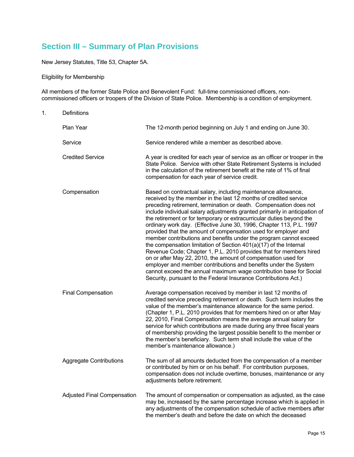# **Section III – Summary of Plan Provisions**

New Jersey Statutes, Title 53, Chapter 5A.

Eligibility for Membership

All members of the former State Police and Benevolent Fund: full-time commissioned officers, noncommissioned officers or troopers of the Division of State Police. Membership is a condition of employment.

| 1. | Definitions                        |                                                                                                                                                                                                                                                                                                                                                                                                                                                                                                                                                                                                                                                                                                                                                                                                                                                                                                                                                                                                    |
|----|------------------------------------|----------------------------------------------------------------------------------------------------------------------------------------------------------------------------------------------------------------------------------------------------------------------------------------------------------------------------------------------------------------------------------------------------------------------------------------------------------------------------------------------------------------------------------------------------------------------------------------------------------------------------------------------------------------------------------------------------------------------------------------------------------------------------------------------------------------------------------------------------------------------------------------------------------------------------------------------------------------------------------------------------|
|    | Plan Year                          | The 12-month period beginning on July 1 and ending on June 30.                                                                                                                                                                                                                                                                                                                                                                                                                                                                                                                                                                                                                                                                                                                                                                                                                                                                                                                                     |
|    | Service                            | Service rendered while a member as described above.                                                                                                                                                                                                                                                                                                                                                                                                                                                                                                                                                                                                                                                                                                                                                                                                                                                                                                                                                |
|    | <b>Credited Service</b>            | A year is credited for each year of service as an officer or trooper in the<br>State Police. Service with other State Retirement Systems is included<br>in the calculation of the retirement benefit at the rate of 1% of final<br>compensation for each year of service credit.                                                                                                                                                                                                                                                                                                                                                                                                                                                                                                                                                                                                                                                                                                                   |
|    | Compensation                       | Based on contractual salary, including maintenance allowance,<br>received by the member in the last 12 months of credited service<br>preceding retirement, termination or death. Compensation does not<br>include individual salary adjustments granted primarily in anticipation of<br>the retirement or for temporary or extracurricular duties beyond the<br>ordinary work day. (Effective June 30, 1996, Chapter 113, P.L. 1997<br>provided that the amount of compensation used for employer and<br>member contributions and benefits under the program cannot exceed<br>the compensation limitation of Section 401(a)(17) of the Internal<br>Revenue Code; Chapter 1, P.L. 2010 provides that for members hired<br>on or after May 22, 2010, the amount of compensation used for<br>employer and member contributions and benefits under the System<br>cannot exceed the annual maximum wage contribution base for Social<br>Security, pursuant to the Federal Insurance Contributions Act.) |
|    | <b>Final Compensation</b>          | Average compensation received by member in last 12 months of<br>credited service preceding retirement or death. Such term includes the<br>value of the member's maintenance allowance for the same period.<br>(Chapter 1, P.L. 2010 provides that for members hired on or after May<br>22, 2010, Final Compensation means the average annual salary for<br>service for which contributions are made during any three fiscal years<br>of membership providing the largest possible benefit to the member or<br>the member's beneficiary. Such term shall include the value of the<br>member's maintenance allowance.)                                                                                                                                                                                                                                                                                                                                                                               |
|    | <b>Aggregate Contributions</b>     | The sum of all amounts deducted from the compensation of a member<br>or contributed by him or on his behalf. For contribution purposes<br>compensation does not include overtime, bonuses, maintenance or any<br>adjustments before retirement.                                                                                                                                                                                                                                                                                                                                                                                                                                                                                                                                                                                                                                                                                                                                                    |
|    | <b>Adjusted Final Compensation</b> | The amount of compensation or compensation as adjusted, as the case<br>may be, increased by the same percentage increase which is applied in<br>any adjustments of the compensation schedule of active members after<br>the member's death and before the date on which the deceased                                                                                                                                                                                                                                                                                                                                                                                                                                                                                                                                                                                                                                                                                                               |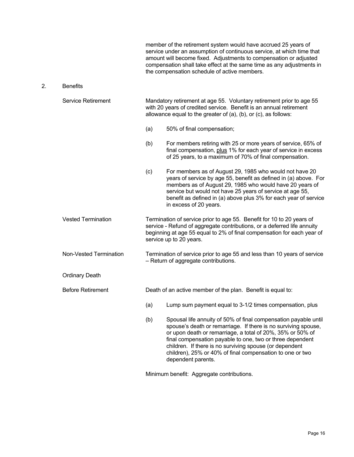member of the retirement system would have accrued 25 years of service under an assumption of continuous service, at which time that amount will become fixed. Adjustments to compensation or adjusted compensation shall take effect at the same time as any adjustments in the compensation schedule of active members.

2. Benefits

 Service Retirement Mandatory retirement at age 55. Voluntary retirement prior to age 55 with 20 years of credited service. Benefit is an annual retirement allowance equal to the greater of (a), (b), or (c), as follows: (a) 50% of final compensation; (b) For members retiring with 25 or more years of service, 65% of final compensation, plus 1% for each year of service in excess of 25 years, to a maximum of 70% of final compensation. (c) For members as of August 29, 1985 who would not have 20 years of service by age 55, benefit as defined in (a) above. For members as of August 29, 1985 who would have 20 years of service but would not have 25 years of service at age 55, benefit as defined in (a) above plus 3% for each year of service in excess of 20 years. Vested Termination Termination of service prior to age 55. Benefit for 10 to 20 years of service - Refund of aggregate contributions, or a deferred life annuity beginning at age 55 equal to 2% of final compensation for each year of service up to 20 years. Non-Vested Termination Termination of service prior to age 55 and less than 10 years of service – Return of aggregate contributions. Ordinary Death Before Retirement Death of an active member of the plan. Benefit is equal to: (a) Lump sum payment equal to 3-1/2 times compensation, plus (b) Spousal life annuity of 50% of final compensation payable until spouse's death or remarriage. If there is no surviving spouse, or upon death or remarriage, a total of 20%, 35% or 50% of final compensation payable to one, two or three dependent children. If there is no surviving spouse (or dependent children), 25% or 40% of final compensation to one or two dependent parents.

Minimum benefit: Aggregate contributions.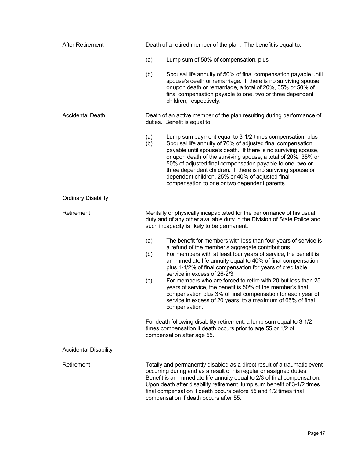| <b>After Retirement</b>      | Death of a retired member of the plan. The benefit is equal to:                                                                                                                                                                                                                                                                                                                                                                                                                                                                                                                                                                                         |
|------------------------------|---------------------------------------------------------------------------------------------------------------------------------------------------------------------------------------------------------------------------------------------------------------------------------------------------------------------------------------------------------------------------------------------------------------------------------------------------------------------------------------------------------------------------------------------------------------------------------------------------------------------------------------------------------|
|                              | Lump sum of 50% of compensation, plus<br>(a)                                                                                                                                                                                                                                                                                                                                                                                                                                                                                                                                                                                                            |
|                              | Spousal life annuity of 50% of final compensation payable until<br>(b)<br>spouse's death or remarriage. If there is no surviving spouse,<br>or upon death or remarriage, a total of 20%, 35% or 50% of<br>final compensation payable to one, two or three dependent<br>children, respectively.                                                                                                                                                                                                                                                                                                                                                          |
| <b>Accidental Death</b>      | Death of an active member of the plan resulting during performance of<br>duties. Benefit is equal to:                                                                                                                                                                                                                                                                                                                                                                                                                                                                                                                                                   |
|                              | Lump sum payment equal to 3-1/2 times compensation, plus<br>(a)<br>Spousal life annuity of 70% of adjusted final compensation<br>(b)<br>payable until spouse's death. If there is no surviving spouse,<br>or upon death of the surviving spouse, a total of 20%, 35% or<br>50% of adjusted final compensation payable to one, two or<br>three dependent children. If there is no surviving spouse or<br>dependent children, 25% or 40% of adjusted final<br>compensation to one or two dependent parents.                                                                                                                                               |
| <b>Ordinary Disability</b>   |                                                                                                                                                                                                                                                                                                                                                                                                                                                                                                                                                                                                                                                         |
| Retirement                   | Mentally or physically incapacitated for the performance of his usual<br>duty and of any other available duty in the Division of State Police and<br>such incapacity is likely to be permanent.                                                                                                                                                                                                                                                                                                                                                                                                                                                         |
|                              | The benefit for members with less than four years of service is<br>(a)<br>a refund of the member's aggregate contributions.<br>For members with at least four years of service, the benefit is<br>(b)<br>an immediate life annuity equal to 40% of final compensation<br>plus 1-1/2% of final compensation for years of creditable<br>service in excess of 26-2/3.<br>For members who are forced to retire with 20 but less than 25<br>(c)<br>years of service, the benefit is 50% of the member's final<br>compensation plus 3% of final compensation for each year of<br>service in excess of 20 years, to a maximum of 65% of final<br>compensation. |
|                              | For death following disability retirement, a lump sum equal to 3-1/2<br>times compensation if death occurs prior to age 55 or 1/2 of<br>compensation after age 55.                                                                                                                                                                                                                                                                                                                                                                                                                                                                                      |
| <b>Accidental Disability</b> |                                                                                                                                                                                                                                                                                                                                                                                                                                                                                                                                                                                                                                                         |
| Retirement                   | Totally and permanently disabled as a direct result of a traumatic event<br>occurring during and as a result of his regular or assigned duties.<br>Benefit is an immediate life annuity equal to 2/3 of final compensation.<br>Upon death after disability retirement, lump sum benefit of 3-1/2 times<br>final compensation if death occurs before 55 and 1/2 times final<br>compensation if death occurs after 55.                                                                                                                                                                                                                                    |